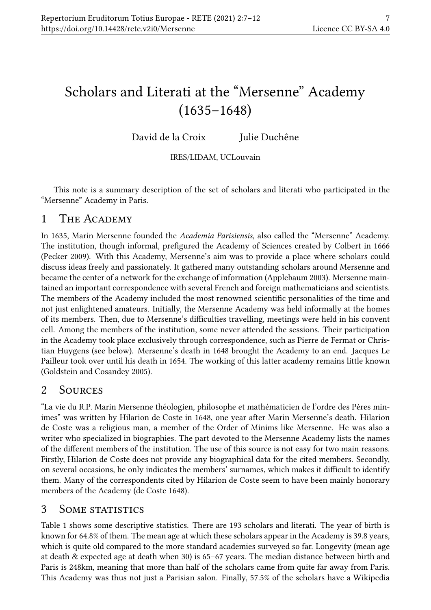# Scholars and Literati at the "Mersenne" Academy (1635–1648)

David de la Croix Julie Duchêne

IRES/LIDAM, UCLouvain

This note is a summary description of the set of scholars and literati who participated in the "Mersenne" Academy in Paris.

# 1 THE ACADEMY

In 1635, Marin Mersenne founded the Academia Parisiensis, also called the "Mersenne" Academy. The institution, though informal, prefigured the Academy of Sciences created by Colbert in 1666 (Pecker 2009). With this Academy, Mersenne's aim was to provide a place where scholars could discuss ideas freely and passionately. It gathered many outstanding scholars around Mersenne and became the center of a network for the exchange of information (Applebaum 2003). Mersenne maintained an important correspondence with several French and foreign mathematicians and scientists. The members of the Academy included the most renowned scientific personalities of the time and not just enlightened amateurs. Initially, the Mersenne Academy was held informally at the homes of its members. Then, due to Mersenne's difficulties travelling, meetings were held in his convent cell. Among the members of the institution, some never attended the sessions. Their participation in the Academy took place exclusively through correspondence, such as Pierre de Fermat or Christian Huygens (see below). Mersenne's death in 1648 brought the Academy to an end. Jacques Le Pailleur took over until his death in 1654. The working of this latter academy remains little known (Goldstein and Cosandey 2005).

# 2 Sources

"La vie du R.P. Marin Mersenne théologien, philosophe et mathématicien de l'ordre des Pères minimes" was written by Hilarion de Coste in 1648, one year after Marin Mersenne's death. Hilarion de Coste was a religious man, a member of the Order of Minims like Mersenne. He was also a writer who specialized in biographies. The part devoted to the Mersenne Academy lists the names of the different members of the institution. The use of this source is not easy for two main reasons. Firstly, Hilarion de Coste does not provide any biographical data for the cited members. Secondly, on several occasions, he only indicates the members' surnames, which makes it difficult to identify them. Many of the correspondents cited by Hilarion de Coste seem to have been mainly honorary members of the Academy (de Coste 1648).

# 3 SOME STATISTICS

Table 1 shows some descriptive statistics. There are 193 scholars and literati. The year of birth is known for 64.8% of them. The mean age at which these scholars appear in the Academy is 39.8 years, which is quite old compared to the more standard academies surveyed so far. Longevity (mean age at death & expected age at death when 30) is 65–67 years. The median distance between birth and Paris is 248km, meaning that more than half of the scholars came from quite far away from Paris. This Academy was thus not just a Parisian salon. Finally, 57.5% of the scholars have a Wikipedia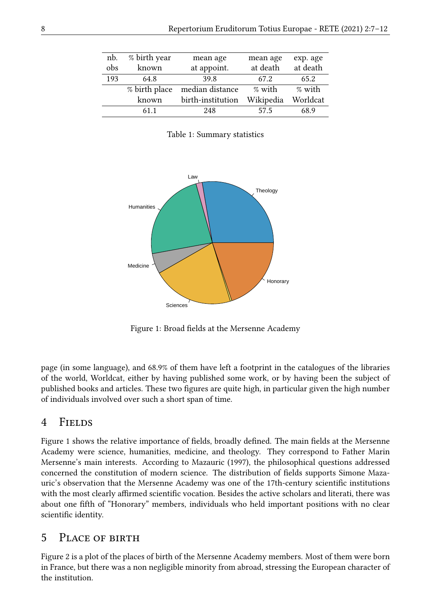| nb. | % birth year  | mean age          | mean age  | exp. age |
|-----|---------------|-------------------|-----------|----------|
| obs | known         | at appoint.       | at death  | at death |
| 193 | 64.8          | 39.8              | 67.2      | 65.2     |
|     | % birth place | median distance   | % with    | % with   |
|     | known         | birth-institution | Wikipedia | Worldcat |
|     | 61 1          | 248               | 57.5      | 68.9     |

Table 1: Summary statistics



Figure 1: Broad fields at the Mersenne Academy

page (in some language), and 68.9% of them have left a footprint in the catalogues of the libraries of the world, Worldcat, either by having published some work, or by having been the subject of published books and articles. These two figures are quite high, in particular given the high number of individuals involved over such a short span of time.

### 4 Fields

Figure 1 shows the relative importance of fields, broadly defined. The main fields at the Mersenne Academy were science, humanities, medicine, and theology. They correspond to Father Marin Mersenne's main interests. According to Mazauric (1997), the philosophical questions addressed concerned the constitution of modern science. The distribution of fields supports Simone Mazauric's observation that the Mersenne Academy was one of the 17th-century scientific institutions with the most clearly affirmed scientific vocation. Besides the active scholars and literati, there was about one fifth of "Honorary" members, individuals who held important positions with no clear scientific identity.

#### 5 Place of birth

Figure 2 is a plot of the places of birth of the Mersenne Academy members. Most of them were born in France, but there was a non negligible minority from abroad, stressing the European character of the institution.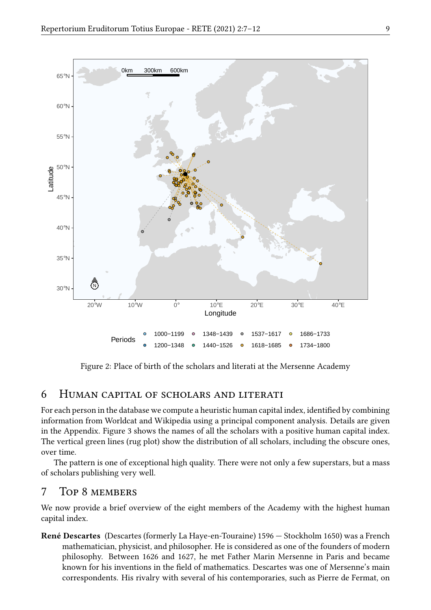

Figure 2: Place of birth of the scholars and literati at the Mersenne Academy

### 6 Human capital of scholars and literati

For each person in the database we compute a heuristic human capital index, identified by combining information from Worldcat and Wikipedia using a principal component analysis. Details are given in the Appendix. Figure 3 shows the names of all the scholars with a positive human capital index. The vertical green lines (rug plot) show the distribution of all scholars, including the obscure ones, over time.

The pattern is one of exceptional high quality. There were not only a few superstars, but a mass of scholars publishing very well.

### 7 Top 8 members

We now provide a brief overview of the eight members of the Academy with the highest human capital index.

René Descartes (Descartes (formerly La Haye-en-Touraine) 1596 — Stockholm 1650) was a French mathematician, physicist, and philosopher. He is considered as one of the founders of modern philosophy. Between 1626 and 1627, he met Father Marin Mersenne in Paris and became known for his inventions in the field of mathematics. Descartes was one of Mersenne's main correspondents. His rivalry with several of his contemporaries, such as Pierre de Fermat, on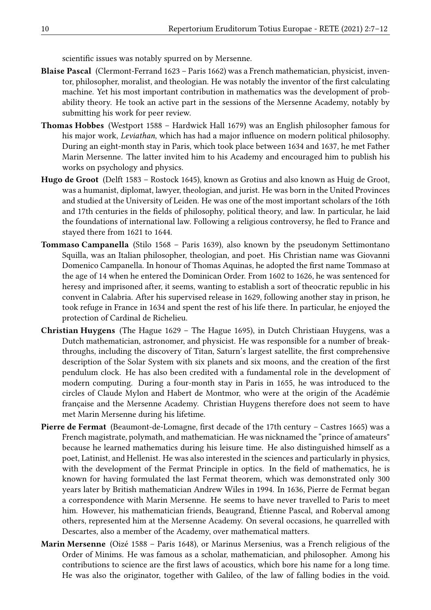scientific issues was notably spurred on by Mersenne.

- Blaise Pascal (Clermont-Ferrand 1623 Paris 1662) was a French mathematician, physicist, inventor, philosopher, moralist, and theologian. He was notably the inventor of the first calculating machine. Yet his most important contribution in mathematics was the development of probability theory. He took an active part in the sessions of the Mersenne Academy, notably by submitting his work for peer review.
- Thomas Hobbes (Westport 1588 Hardwick Hall 1679) was an English philosopher famous for his major work, Leviathan, which has had a major influence on modern political philosophy. During an eight-month stay in Paris, which took place between 1634 and 1637, he met Father Marin Mersenne. The latter invited him to his Academy and encouraged him to publish his works on psychology and physics.
- Hugo de Groot (Delft 1583 Rostock 1645), known as Grotius and also known as Huig de Groot, was a humanist, diplomat, lawyer, theologian, and jurist. He was born in the United Provinces and studied at the University of Leiden. He was one of the most important scholars of the 16th and 17th centuries in the fields of philosophy, political theory, and law. In particular, he laid the foundations of international law. Following a religious controversy, he fled to France and stayed there from 1621 to 1644.
- Tommaso Campanella (Stilo 1568 Paris 1639), also known by the pseudonym Settimontano Squilla, was an Italian philosopher, theologian, and poet. His Christian name was Giovanni Domenico Campanella. In honour of Thomas Aquinas, he adopted the first name Tommaso at the age of 14 when he entered the Dominican Order. From 1602 to 1626, he was sentenced for heresy and imprisoned after, it seems, wanting to establish a sort of theocratic republic in his convent in Calabria. After his supervised release in 1629, following another stay in prison, he took refuge in France in 1634 and spent the rest of his life there. In particular, he enjoyed the protection of Cardinal de Richelieu.
- Christian Huygens (The Hague 1629 The Hague 1695), in Dutch Christiaan Huygens, was a Dutch mathematician, astronomer, and physicist. He was responsible for a number of breakthroughs, including the discovery of Titan, Saturn's largest satellite, the first comprehensive description of the Solar System with six planets and six moons, and the creation of the first pendulum clock. He has also been credited with a fundamental role in the development of modern computing. During a four-month stay in Paris in 1655, he was introduced to the circles of Claude Mylon and Habert de Montmor, who were at the origin of the Académie française and the Mersenne Academy. Christian Huygens therefore does not seem to have met Marin Mersenne during his lifetime.
- Pierre de Fermat (Beaumont-de-Lomagne, first decade of the 17th century Castres 1665) was a French magistrate, polymath, and mathematician. He was nicknamed the "prince of amateurs" because he learned mathematics during his leisure time. He also distinguished himself as a poet, Latinist, and Hellenist. He was also interested in the sciences and particularly in physics, with the development of the Fermat Principle in optics. In the field of mathematics, he is known for having formulated the last Fermat theorem, which was demonstrated only 300 years later by British mathematician Andrew Wiles in 1994. In 1636, Pierre de Fermat began a correspondence with Marin Mersenne. He seems to have never travelled to Paris to meet him. However, his mathematician friends, Beaugrand, Étienne Pascal, and Roberval among others, represented him at the Mersenne Academy. On several occasions, he quarrelled with Descartes, also a member of the Academy, over mathematical matters.
- Marin Mersenne (Oizé 1588 Paris 1648), or Marinus Mersenius, was a French religious of the Order of Minims. He was famous as a scholar, mathematician, and philosopher. Among his contributions to science are the first laws of acoustics, which bore his name for a long time. He was also the originator, together with Galileo, of the law of falling bodies in the void.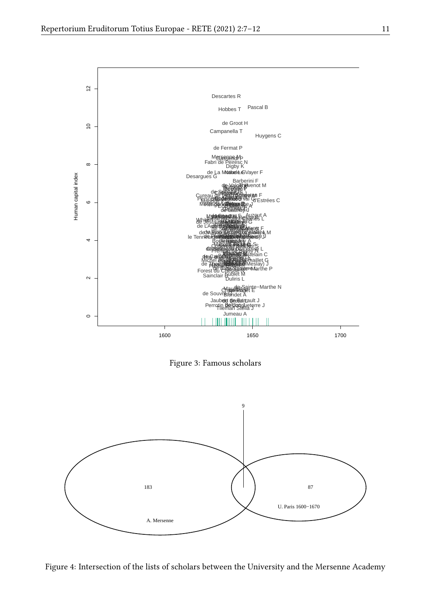

Figure 3: Famous scholars



Figure 4: Intersection of the lists of scholars between the University and the Mersenne Academy